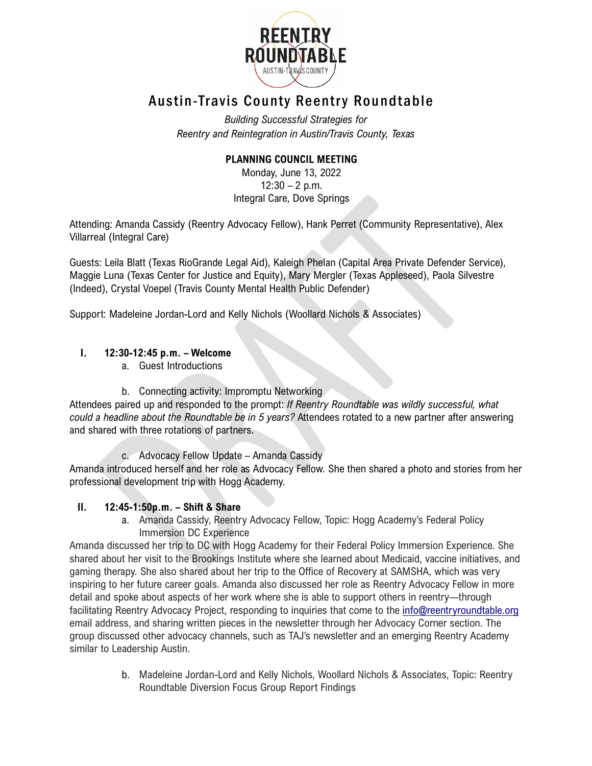

# Austin-Travis County Reentry Roundtable

*Building Successful Strategies for Reentry and Reintegration in Austin/Travis County, Texas*

## **PLANNING COUNCIL MEETING**

Monday, June 13, 2022  $12:30 - 2$  p.m. Integral Care, Dove Springs

Attending: Amanda Cassidy (Reentry Advocacy Fellow), Hank Perret (Community Representative), Alex Villarreal (Integral Care)

Guests: Leila Blatt (Texas RioGrande Legal Aid), Kaleigh Phelan (Capital Area Private Defender Service), Maggie Luna (Texas Center for Justice and Equity), Mary Mergler (Texas Appleseed), Paola Silvestre (Indeed), Crystal Voepel (Travis County Mental Health Public Defender)

Support: Madeleine Jordan-Lord and Kelly Nichols (Woollard Nichols & Associates)

### **I. 12:30-12:45 p.m. – Welcome**

- a. Guest Introductions
- b. Connecting activity: Impromptu Networking

Attendees paired up and responded to the prompt: *If Reentry Roundtable was wildly successful, what could a headline about the Roundtable be in 5 years?* Attendees rotated to a new partner after answering and shared with three rotations of partners.

c. Advocacy Fellow Update – Amanda Cassidy

Amanda introduced herself and her role as Advocacy Fellow. She then shared a photo and stories from her professional development trip with Hogg Academy.

### **II. 12:45-1:50p.m. – Shift & Share**

a. Amanda Cassidy, Reentry Advocacy Fellow, Topic: Hogg Academy's Federal Policy Immersion DC Experience

Amanda discussed her trip to DC with Hogg Academy for their Federal Policy Immersion Experience. She shared about her visit to the Brookings Institute where she learned about Medicaid, vaccine initiatives, and gaming therapy. She also shared about her trip to the Office of Recovery at SAMSHA, which was very inspiring to her future career goals. Amanda also discussed her role as Reentry Advocacy Fellow in more detail and spoke about aspects of her work where she is able to support others in reentry—through facilitating Reentry Advocacy Project, responding to inquiries that come to the [info@reentryroundtable.org](mailto:info@reentryroundtable.org) email address, and sharing written pieces in the newsletter through her Advocacy Corner section. The group discussed other advocacy channels, such as TAJ's newsletter and an emerging Reentry Academy similar to Leadership Austin.

> b. Madeleine Jordan-Lord and Kelly Nichols, Woollard Nichols & Associates, Topic: Reentry Roundtable Diversion Focus Group Report Findings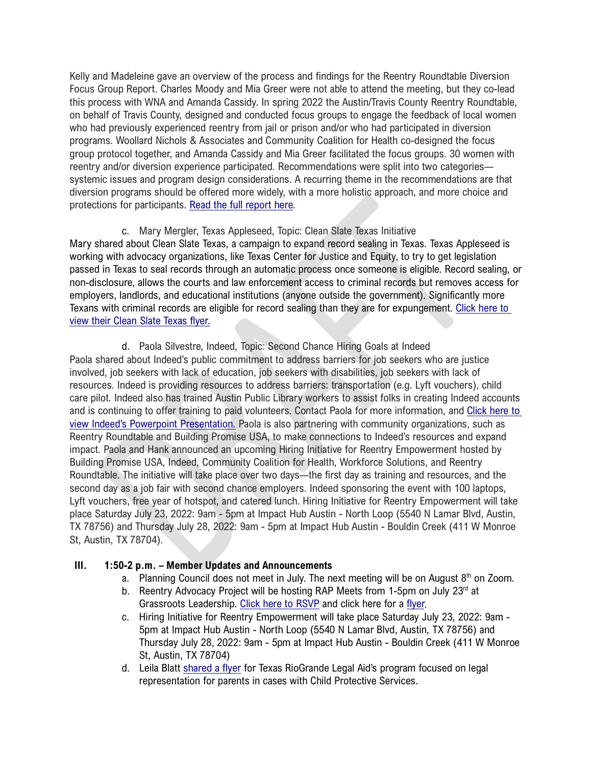Kelly and Madeleine gave an overview of the process and findings for the Reentry Roundtable Diversion Focus Group Report. Charles Moody and Mia Greer were not able to attend the meeting, but they co-lead this process with WNA and Amanda Cassidy. In spring 2022 the Austin/Travis County Reentry Roundtable, on behalf of Travis County, designed and conducted focus groups to engage the feedback of local women who had previously experienced reentry from jail or prison and/or who had participated in diversion programs. Woollard Nichols & Associates and Community Coalition for Health co-designed the focus group protocol together, and Amanda Cassidy and Mia Greer facilitated the focus groups. 30 women with reentry and/or diversion experience participated. Recommendations were split into two categories systemic issues and program design considerations. A recurring theme in the recommendations are that diversion programs should be offered more widely, with a more holistic approach, and more choice and protections for participants. [Read the full report here.](https://app.box.com/s/kphvybomyfe0gqs6z3hzn5phb5p8epyj)

c. Mary Mergler, Texas Appleseed, Topic: Clean Slate Texas Initiative Mary shared about Clean Slate Texas, a campaign to expand record sealing in Texas. Texas Appleseed is working with advocacy organizations, like Texas Center for Justice and Equity, to try to get legislation passed in Texas to seal records through an automatic process once someone is eligible. Record sealing, or non-disclosure, allows the courts and law enforcement access to criminal records but removes access for employers, landlords, and educational institutions (anyone outside the government). Significantly more Texans with criminal records are eligible for record sealing than they are for expungement. [Click here to](https://app.box.com/s/wm0qscxmfbeuihifaw1p6sed283v7q0h)  [view their Clean Slate Texas flyer.](https://app.box.com/s/wm0qscxmfbeuihifaw1p6sed283v7q0h)

d. Paola Silvestre, Indeed, Topic: Second Chance Hiring Goals at Indeed Paola shared about Indeed's public commitment to address barriers for job seekers who are justice involved, job seekers with lack of education, job seekers with disabilities, job seekers with lack of resources. Indeed is providing resources to address barriers: transportation (e.g. Lyft vouchers), child care pilot. Indeed also has trained Austin Public Library workers to assist folks in creating Indeed accounts and is continuing to offer training to paid volunteers. Contact Paola for more information, and [Click here to](https://app.box.com/s/ucka1nrqdidoeh2gdwj6pgm391uol13n)  [view Indeed's Powerpoint Presentation.](https://app.box.com/s/ucka1nrqdidoeh2gdwj6pgm391uol13n) Paola is also partnering with community organizations, such as Reentry Roundtable and Building Promise USA, to make connections to Indeed's resources and expand impact. Paola and Hank announced an upcoming Hiring Initiative for Reentry Empowerment hosted by Building Promise USA, Indeed, Community Coalition for Health, Workforce Solutions, and Reentry Roundtable. The initiative will take place over two days—the first day as training and resources, and the second day as a job fair with second chance employers. Indeed sponsoring the event with 100 laptops, Lyft vouchers, free year of hotspot, and catered lunch. Hiring Initiative for Reentry Empowerment will take place Saturday July 23, 2022: 9am - 5pm at Impact Hub Austin - North Loop (5540 N Lamar Blvd, Austin, TX 78756) and Thursday July 28, 2022: 9am - 5pm at Impact Hub Austin - Bouldin Creek (411 W Monroe St, Austin, TX 78704).

#### **III. 1:50-2 p.m. – Member Updates and Announcements**

- a. Planning Council does not meet in July. The next meeting will be on August  $8<sup>th</sup>$  on Zoom.
- b. Reentry Advocacy Project will be hosting RAP Meets from 1-5pm on July 23rd at Grassroots Leadership. [Click here to RSVP](https://docs.google.com/forms/d/e/1FAIpQLSfLv2yU33BvsBz4EHu3_W94B0c9Bz0fTDFeiKmgjQIjolNCqA/viewform) and click here for a [flyer.](https://app.box.com/s/yfz30dr9o5qrs1cqlpbv35tx9tcu05g0)
- c. Hiring Initiative for Reentry Empowerment will take place Saturday July 23, 2022: 9am 5pm at Impact Hub Austin - North Loop (5540 N Lamar Blvd, Austin, TX 78756) and Thursday July 28, 2022: 9am - 5pm at Impact Hub Austin - Bouldin Creek (411 W Monroe St, Austin, TX 78704)
- d. Leila Blatt [shared a flyer](https://app.box.com/s/xtmlwtzhr0qcvteepzg1x2eciuyy3yhx) for Texas RioGrande Legal Aid's program focused on legal representation for parents in cases with Child Protective Services.